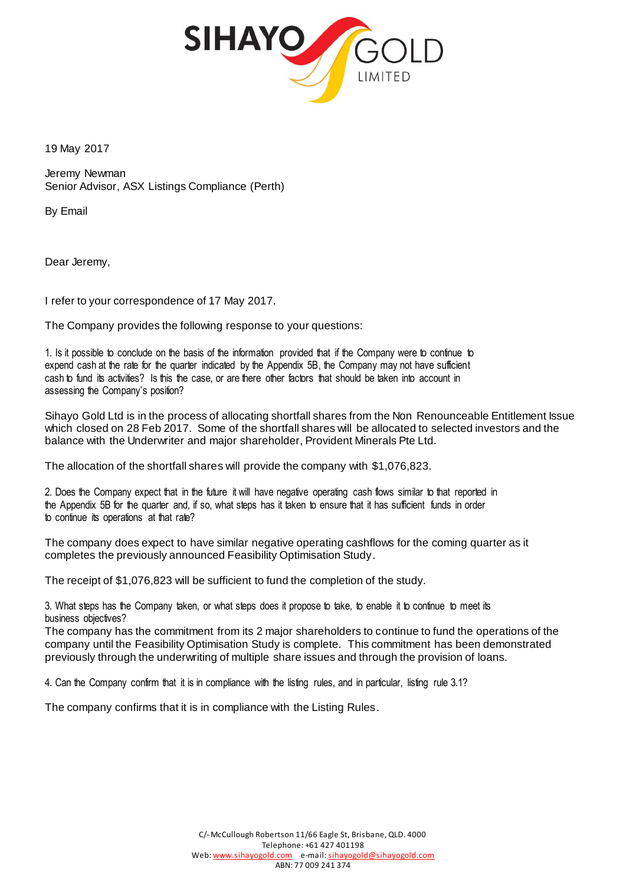

19 May 2017

Jeremy Newman Senior Advisor, ASX Listings Compliance (Perth)

By Email

Dear Jeremy,

I refer to your correspondence of 17 May 2017.

The Company provides the following response to your questions:

1. Is it possible to conclude on the basis of the information provided that if the Company were to continue to expend cash at the rate for the quarter indicated by the Appendix 5B, the Company may not have sufficient cash to fund its activities? Is this the case, or are there other factors that should be taken into account in assessing the Company's position?

Sihayo Gold Ltd is in the process of allocating shortfall shares from the Non Renounceable Entitlement Issue which closed on 28 Feb 2017. Some of the shortfall shares will be allocated to selected investors and the balance with the Underwriter and major shareholder, Provident Minerals Pte Ltd.

The allocation of the shortfall shares will provide the company with \$1,076,823.

2. Does the Company expect that in the future it will have negative operating cash flows similar to that reported in the Appendix 5B for the quarter and, if so, what steps has it taken to ensure that it has sufficient funds in order to continue its operations at that rate?

The company does expect to have similar negative operating cashflows for the coming quarter as it completes the previously announced Feasibility Optimisation Study.

The receipt of \$1,076,823 will be sufficient to fund the completion of the study.

3. What steps has the Company taken, or what steps does it propose to take, to enable it to continue to meet its business objectives?

The company has the commitment from its 2 major shareholders to continue to fund the operations of the company until the Feasibility Optimisation Study is complete. This commitment has been demonstrated previously through the underwriting of multiple share issues and through the provision of loans.

4. Can the Company confirm that it is in compliance with the listing rules, and in particular, listing rule 3.1?

The company confirms that it is in compliance with the Listing Rules.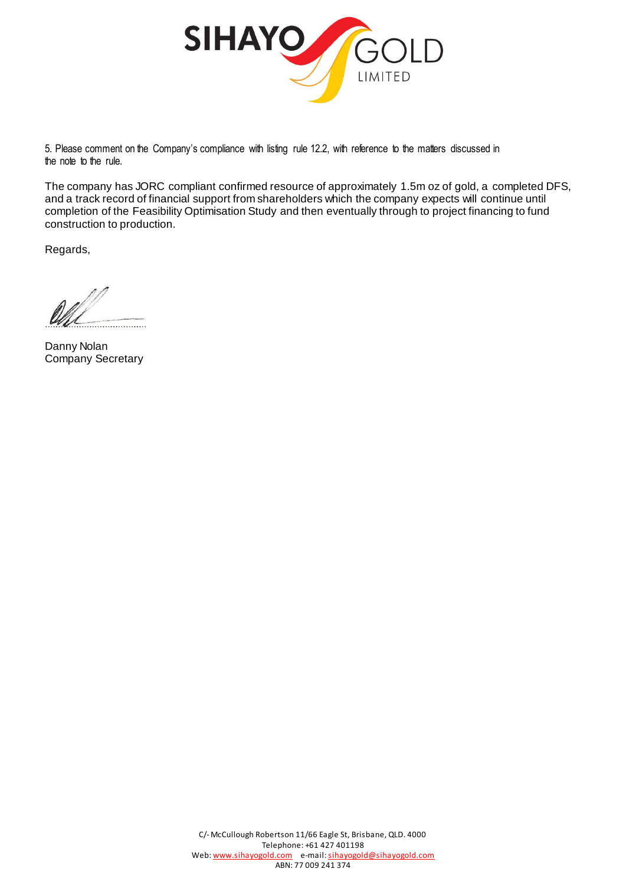

5. Please comment on the Company's compliance with listing rule 12.2, with reference to the matters discussed in the note to the rule.

The company has JORC compliant confirmed resource of approximately 1.5m oz of gold, a completed DFS, and a track record of financial support from shareholders which the company expects will continue until completion of the Feasibility Optimisation Study and then eventually through to project financing to fund construction to production.

Regards,

Danny Nolan Company Secretary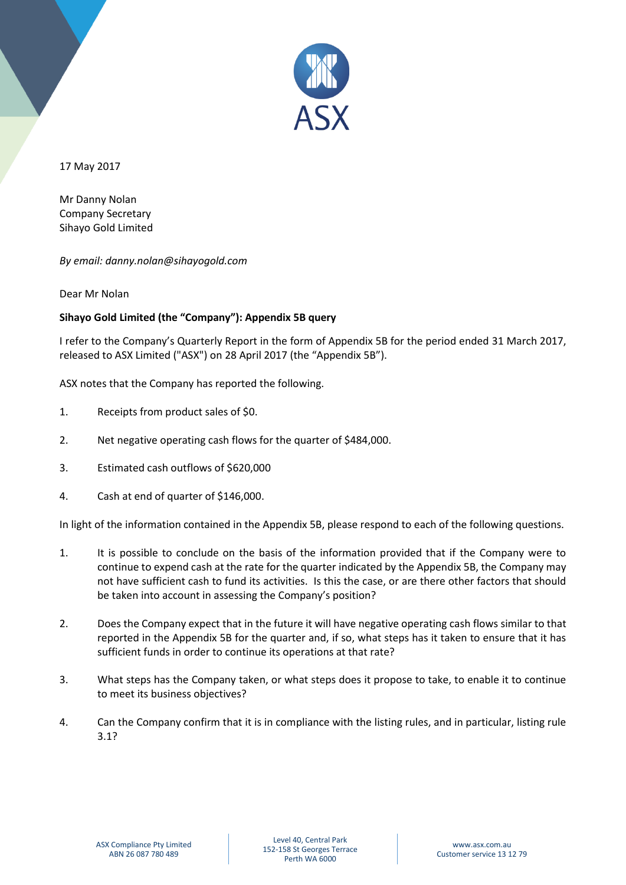

17 May 2017

Mr Danny Nolan Company Secretary Sihayo Gold Limited

*By email: danny.nolan@sihayogold.com*

Dear Mr Nolan

## **Sihayo Gold Limited (the "Company"): Appendix 5B query**

I refer to the Company's Quarterly Report in the form of Appendix 5B for the period ended 31 March 2017, released to ASX Limited ("ASX") on 28 April 2017 (the "Appendix 5B").

ASX notes that the Company has reported the following.

- 1. Receipts from product sales of \$0.
- 2. Net negative operating cash flows for the quarter of \$484,000.
- 3. Estimated cash outflows of \$620,000
- 4. Cash at end of quarter of \$146,000.

In light of the information contained in the Appendix 5B, please respond to each of the following questions.

- 1. It is possible to conclude on the basis of the information provided that if the Company were to continue to expend cash at the rate for the quarter indicated by the Appendix 5B, the Company may not have sufficient cash to fund its activities. Is this the case, or are there other factors that should be taken into account in assessing the Company's position?
- 2. Does the Company expect that in the future it will have negative operating cash flows similar to that reported in the Appendix 5B for the quarter and, if so, what steps has it taken to ensure that it has sufficient funds in order to continue its operations at that rate?
- 3. What steps has the Company taken, or what steps does it propose to take, to enable it to continue to meet its business objectives?
- 4. Can the Company confirm that it is in compliance with the listing rules, and in particular, listing rule 3.1?